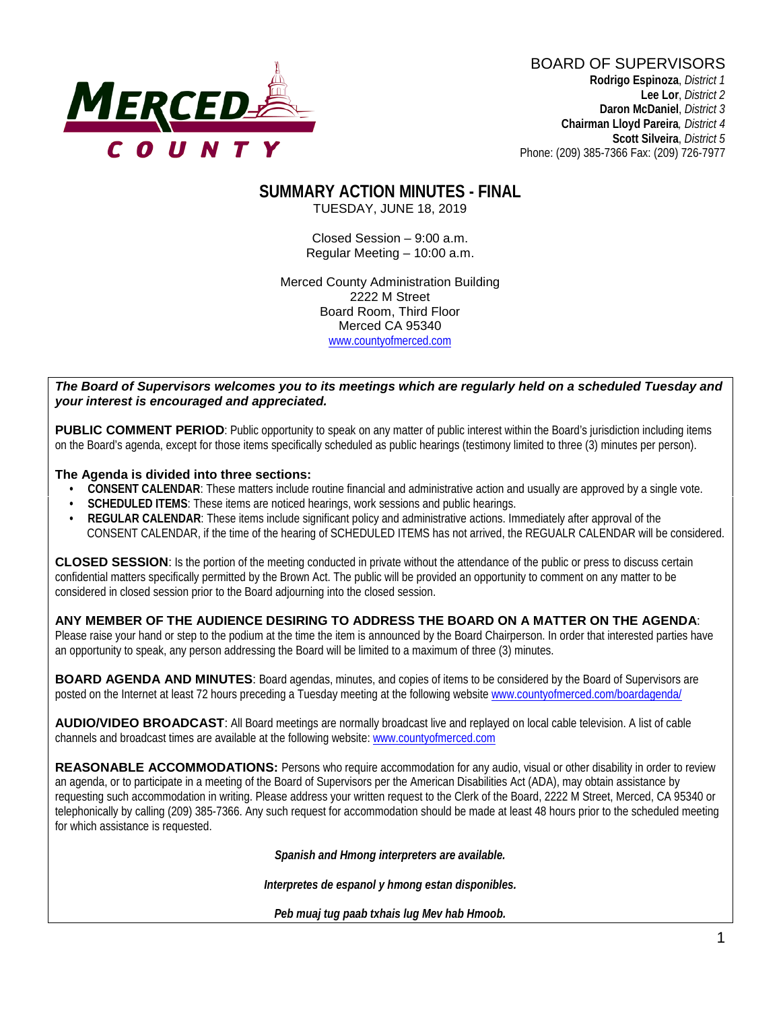

BOARD OF SUPERVISORS **Rodrigo Espinoza**, *District 1*  **Lee Lor**, *District 2*  **Daron McDaniel**, *District 3* **Chairman Lloyd Pareira***, District 4*  **Scott Silveira**, *District 5* Phone: (209) 385-7366 Fax: (209) 726-7977

# **SUMMARY ACTION MINUTES - FINAL**

TUESDAY, JUNE 18, 2019

Closed Session – 9:00 a.m. Regular Meeting – 10:00 a.m.

Merced County Administration Building 2222 M Street Board Room, Third Floor Merced CA 95340 www.countyofmerced.com

#### *The Board of Supervisors welcomes you to its meetings which are regularly held on a scheduled Tuesday and your interest is encouraged and appreciated.*

**PUBLIC COMMENT PERIOD:** Public opportunity to speak on any matter of public interest within the Board's jurisdiction including items on the Board's agenda, except for those items specifically scheduled as public hearings (testimony limited to three (3) minutes per person).

#### **The Agenda is divided into three sections:**

- **CONSENT CALENDAR**: These matters include routine financial and administrative action and usually are approved by a single vote.
- **SCHEDULED ITEMS:** These items are noticed hearings, work sessions and public hearings.
- **REGULAR CALENDAR**: These items include significant policy and administrative actions. Immediately after approval of the CONSENT CALENDAR, if the time of the hearing of SCHEDULED ITEMS has not arrived, the REGUALR CALENDAR will be considered.

**CLOSED SESSION**: Is the portion of the meeting conducted in private without the attendance of the public or press to discuss certain confidential matters specifically permitted by the Brown Act. The public will be provided an opportunity to comment on any matter to be considered in closed session prior to the Board adjourning into the closed session.

#### **ANY MEMBER OF THE AUDIENCE DESIRING TO ADDRESS THE BOARD ON A MATTER ON THE AGENDA**:

Please raise your hand or step to the podium at the time the item is announced by the Board Chairperson. In order that interested parties have an opportunity to speak, any person addressing the Board will be limited to a maximum of three (3) minutes.

**BOARD AGENDA AND MINUTES:** Board agendas, minutes, and copies of items to be considered by the Board of Supervisors are posted on the Internet at least 72 hours preceding a Tuesday meeting at the following website [www.countyofmerced.com/boardagenda/](http://www.countyofmerced.com/boardagenda/) 

**AUDIO/VIDEO BROADCAST**: All Board meetings are normally broadcast live and replayed on local cable television. A list of cable channels and broadcast times are available at the following website[: www.countyofmerced.com](http://www.countyofmerced.com/)

**REASONABLE ACCOMMODATIONS:** Persons who require accommodation for any audio, visual or other disability in order to review an agenda, or to participate in a meeting of the Board of Supervisors per the American Disabilities Act (ADA), may obtain assistance by requesting such accommodation in writing. Please address your written request to the Clerk of the Board, 2222 M Street, Merced, CA 95340 or telephonically by calling (209) 385-7366. Any such request for accommodation should be made at least 48 hours prior to the scheduled meeting for which assistance is requested.

*Spanish and Hmong interpreters are available.*

*Interpretes de espanol y hmong estan disponibles.*

*Peb muaj tug paab txhais lug Mev hab Hmoob.*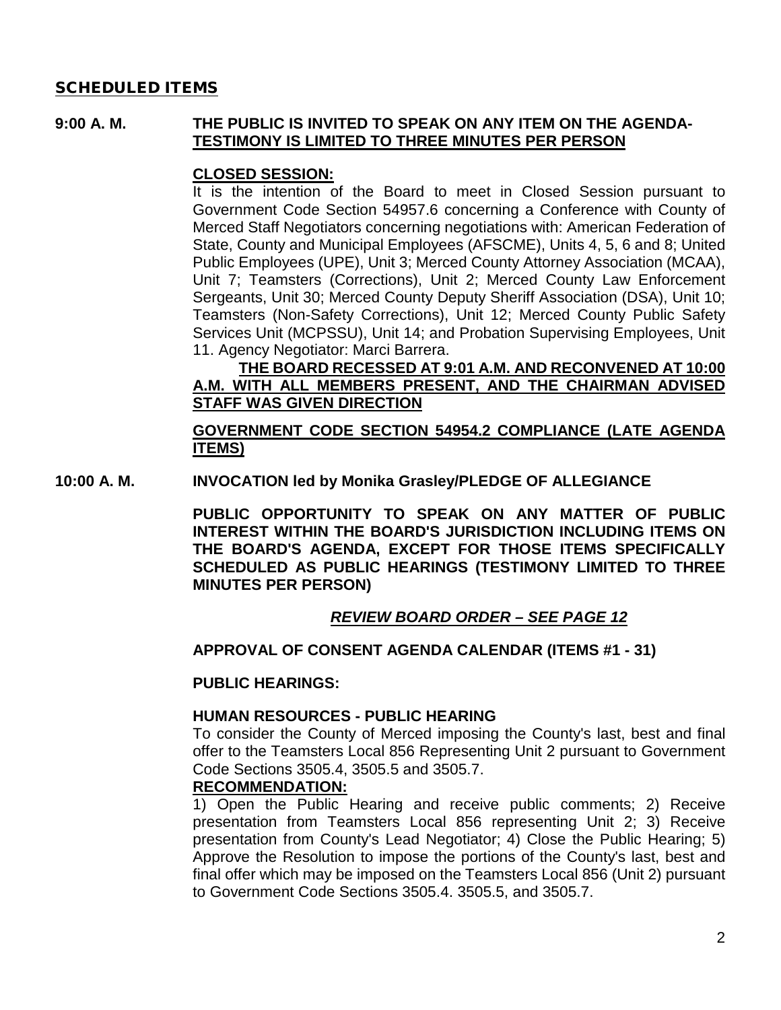### SCHEDULED ITEMS

### **9:00 A. M. THE PUBLIC IS INVITED TO SPEAK ON ANY ITEM ON THE AGENDA-TESTIMONY IS LIMITED TO THREE MINUTES PER PERSON**

### **CLOSED SESSION:**

It is the intention of the Board to meet in Closed Session pursuant to Government Code Section 54957.6 concerning a Conference with County of Merced Staff Negotiators concerning negotiations with: American Federation of State, County and Municipal Employees (AFSCME), Units 4, 5, 6 and 8; United Public Employees (UPE), Unit 3; Merced County Attorney Association (MCAA), Unit 7; Teamsters (Corrections), Unit 2; Merced County Law Enforcement Sergeants, Unit 30; Merced County Deputy Sheriff Association (DSA), Unit 10; Teamsters (Non-Safety Corrections), Unit 12; Merced County Public Safety Services Unit (MCPSSU), Unit 14; and Probation Supervising Employees, Unit 11. Agency Negotiator: Marci Barrera.

### **THE BOARD RECESSED AT 9:01 A.M. AND RECONVENED AT 10:00 A.M. WITH ALL MEMBERS PRESENT, AND THE CHAIRMAN ADVISED STAFF WAS GIVEN DIRECTION**

## **GOVERNMENT CODE SECTION 54954.2 COMPLIANCE (LATE AGENDA ITEMS)**

**10:00 A. M. INVOCATION led by Monika Grasley/PLEDGE OF ALLEGIANCE**

**PUBLIC OPPORTUNITY TO SPEAK ON ANY MATTER OF PUBLIC INTEREST WITHIN THE BOARD'S JURISDICTION INCLUDING ITEMS ON THE BOARD'S AGENDA, EXCEPT FOR THOSE ITEMS SPECIFICALLY SCHEDULED AS PUBLIC HEARINGS (TESTIMONY LIMITED TO THREE MINUTES PER PERSON)**

## *REVIEW BOARD ORDER – SEE PAGE 12*

#### **APPROVAL OF CONSENT AGENDA CALENDAR (ITEMS #1 - 31)**

### **PUBLIC HEARINGS:**

### **HUMAN RESOURCES - PUBLIC HEARING**

To consider the County of Merced imposing the County's last, best and final offer to the Teamsters Local 856 Representing Unit 2 pursuant to Government Code Sections 3505.4, 3505.5 and 3505.7.

#### **RECOMMENDATION:**

1) Open the Public Hearing and receive public comments; 2) Receive presentation from Teamsters Local 856 representing Unit 2; 3) Receive presentation from County's Lead Negotiator; 4) Close the Public Hearing; 5) Approve the Resolution to impose the portions of the County's last, best and final offer which may be imposed on the Teamsters Local 856 (Unit 2) pursuant to Government Code Sections 3505.4. 3505.5, and 3505.7.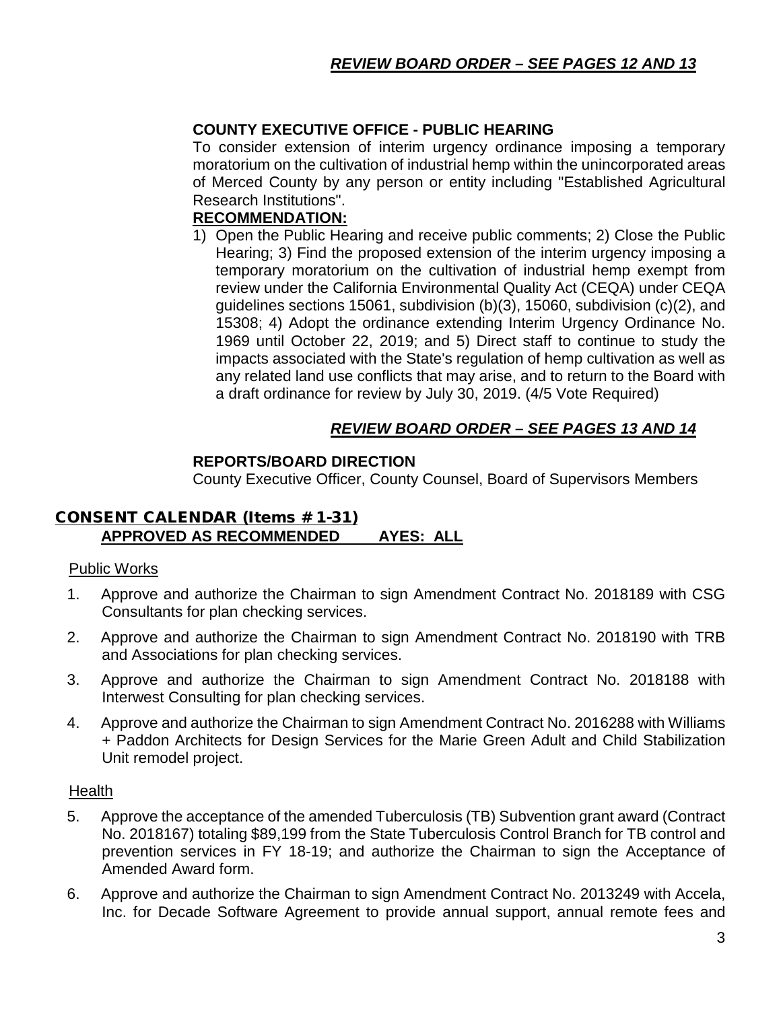## **COUNTY EXECUTIVE OFFICE - PUBLIC HEARING**

To consider extension of interim urgency ordinance imposing a temporary moratorium on the cultivation of industrial hemp within the unincorporated areas of Merced County by any person or entity including "Established Agricultural Research Institutions".

## **RECOMMENDATION:**

1) Open the Public Hearing and receive public comments; 2) Close the Public Hearing; 3) Find the proposed extension of the interim urgency imposing a temporary moratorium on the cultivation of industrial hemp exempt from review under the California Environmental Quality Act (CEQA) under CEQA guidelines sections 15061, subdivision (b)(3), 15060, subdivision (c)(2), and 15308; 4) Adopt the ordinance extending Interim Urgency Ordinance No. 1969 until October 22, 2019; and 5) Direct staff to continue to study the impacts associated with the State's regulation of hemp cultivation as well as any related land use conflicts that may arise, and to return to the Board with a draft ordinance for review by July 30, 2019. (4/5 Vote Required)

## *REVIEW BOARD ORDER – SEE PAGES 13 AND 14*

### **REPORTS/BOARD DIRECTION**

County Executive Officer, County Counsel, Board of Supervisors Members

### CONSENT CALENDAR (Items # 1-31) **APPROVED AS RECOMMENDED AYES: ALL**

#### Public Works

- 1. Approve and authorize the Chairman to sign Amendment Contract No. 2018189 with CSG Consultants for plan checking services.
- 2. Approve and authorize the Chairman to sign Amendment Contract No. 2018190 with TRB and Associations for plan checking services.
- 3. Approve and authorize the Chairman to sign Amendment Contract No. 2018188 with Interwest Consulting for plan checking services.
- 4. Approve and authorize the Chairman to sign Amendment Contract No. 2016288 with Williams + Paddon Architects for Design Services for the Marie Green Adult and Child Stabilization Unit remodel project.

#### **Health**

- 5. Approve the acceptance of the amended Tuberculosis (TB) Subvention grant award (Contract No. 2018167) totaling \$89,199 from the State Tuberculosis Control Branch for TB control and prevention services in FY 18-19; and authorize the Chairman to sign the Acceptance of Amended Award form.
- 6. Approve and authorize the Chairman to sign Amendment Contract No. 2013249 with Accela, Inc. for Decade Software Agreement to provide annual support, annual remote fees and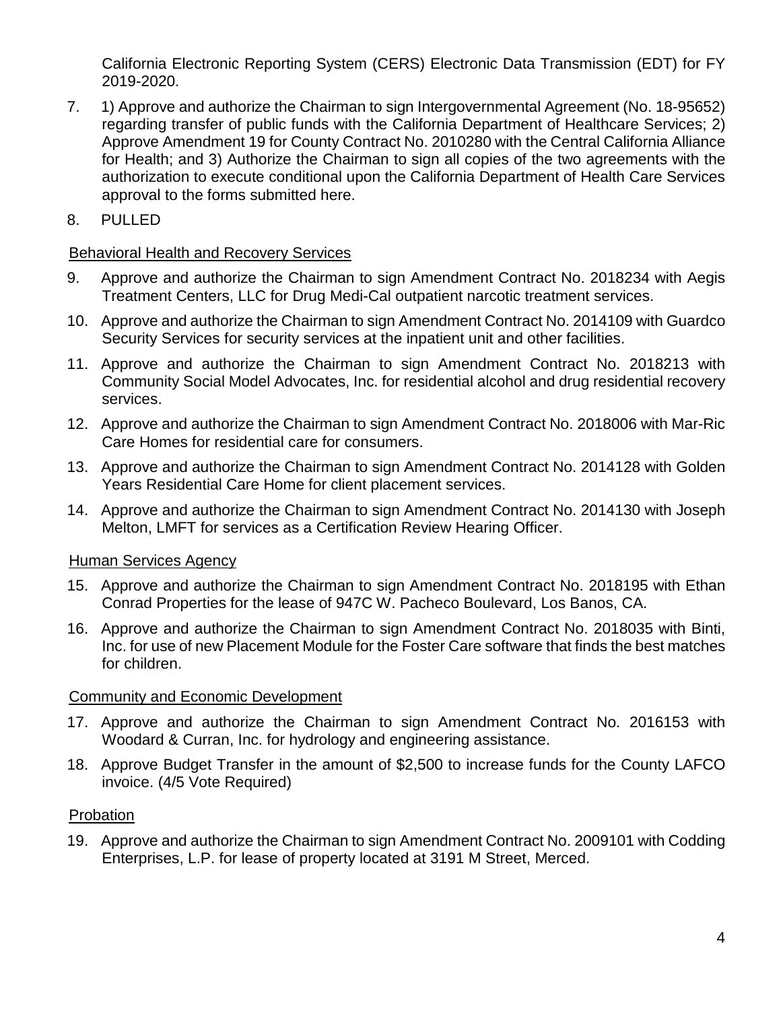California Electronic Reporting System (CERS) Electronic Data Transmission (EDT) for FY 2019-2020.

- 7. 1) Approve and authorize the Chairman to sign Intergovernmental Agreement (No. 18-95652) regarding transfer of public funds with the California Department of Healthcare Services; 2) Approve Amendment 19 for County Contract No. 2010280 with the Central California Alliance for Health; and 3) Authorize the Chairman to sign all copies of the two agreements with the authorization to execute conditional upon the California Department of Health Care Services approval to the forms submitted here.
- 8. PULLED

## Behavioral Health and Recovery Services

- 9. Approve and authorize the Chairman to sign Amendment Contract No. 2018234 with Aegis Treatment Centers, LLC for Drug Medi-Cal outpatient narcotic treatment services.
- 10. Approve and authorize the Chairman to sign Amendment Contract No. 2014109 with Guardco Security Services for security services at the inpatient unit and other facilities.
- 11. Approve and authorize the Chairman to sign Amendment Contract No. 2018213 with Community Social Model Advocates, Inc. for residential alcohol and drug residential recovery services.
- 12. Approve and authorize the Chairman to sign Amendment Contract No. 2018006 with Mar-Ric Care Homes for residential care for consumers.
- 13. Approve and authorize the Chairman to sign Amendment Contract No. 2014128 with Golden Years Residential Care Home for client placement services.
- 14. Approve and authorize the Chairman to sign Amendment Contract No. 2014130 with Joseph Melton, LMFT for services as a Certification Review Hearing Officer.

## Human Services Agency

- 15. Approve and authorize the Chairman to sign Amendment Contract No. 2018195 with Ethan Conrad Properties for the lease of 947C W. Pacheco Boulevard, Los Banos, CA.
- 16. Approve and authorize the Chairman to sign Amendment Contract No. 2018035 with Binti, Inc. for use of new Placement Module for the Foster Care software that finds the best matches for children.

# Community and Economic Development

- 17. Approve and authorize the Chairman to sign Amendment Contract No. 2016153 with Woodard & Curran, Inc. for hydrology and engineering assistance.
- 18. Approve Budget Transfer in the amount of \$2,500 to increase funds for the County LAFCO invoice. (4/5 Vote Required)

# Probation

19. Approve and authorize the Chairman to sign Amendment Contract No. 2009101 with Codding Enterprises, L.P. for lease of property located at 3191 M Street, Merced.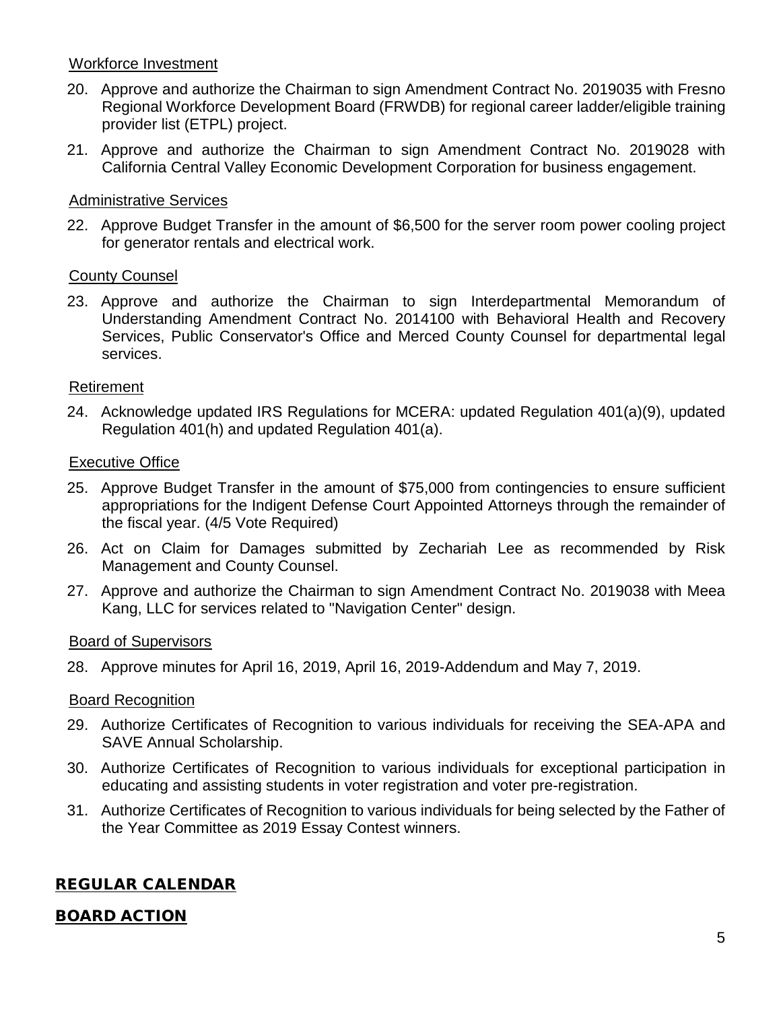## Workforce Investment

- 20. Approve and authorize the Chairman to sign Amendment Contract No. 2019035 with Fresno Regional Workforce Development Board (FRWDB) for regional career ladder/eligible training provider list (ETPL) project.
- 21. Approve and authorize the Chairman to sign Amendment Contract No. 2019028 with California Central Valley Economic Development Corporation for business engagement.

### Administrative Services

22. Approve Budget Transfer in the amount of \$6,500 for the server room power cooling project for generator rentals and electrical work.

### County Counsel

23. Approve and authorize the Chairman to sign Interdepartmental Memorandum of Understanding Amendment Contract No. 2014100 with Behavioral Health and Recovery Services, Public Conservator's Office and Merced County Counsel for departmental legal services.

### Retirement

24. Acknowledge updated IRS Regulations for MCERA: updated Regulation 401(a)(9), updated Regulation 401(h) and updated Regulation 401(a).

### Executive Office

- 25. Approve Budget Transfer in the amount of \$75,000 from contingencies to ensure sufficient appropriations for the Indigent Defense Court Appointed Attorneys through the remainder of the fiscal year. (4/5 Vote Required)
- 26. Act on Claim for Damages submitted by Zechariah Lee as recommended by Risk Management and County Counsel.
- 27. Approve and authorize the Chairman to sign Amendment Contract No. 2019038 with Meea Kang, LLC for services related to "Navigation Center" design.

### Board of Supervisors

28. Approve minutes for April 16, 2019, April 16, 2019-Addendum and May 7, 2019.

### Board Recognition

- 29. Authorize Certificates of Recognition to various individuals for receiving the SEA-APA and SAVE Annual Scholarship.
- 30. Authorize Certificates of Recognition to various individuals for exceptional participation in educating and assisting students in voter registration and voter pre-registration.
- 31. Authorize Certificates of Recognition to various individuals for being selected by the Father of the Year Committee as 2019 Essay Contest winners.

# REGULAR CALENDAR

### BOARD ACTION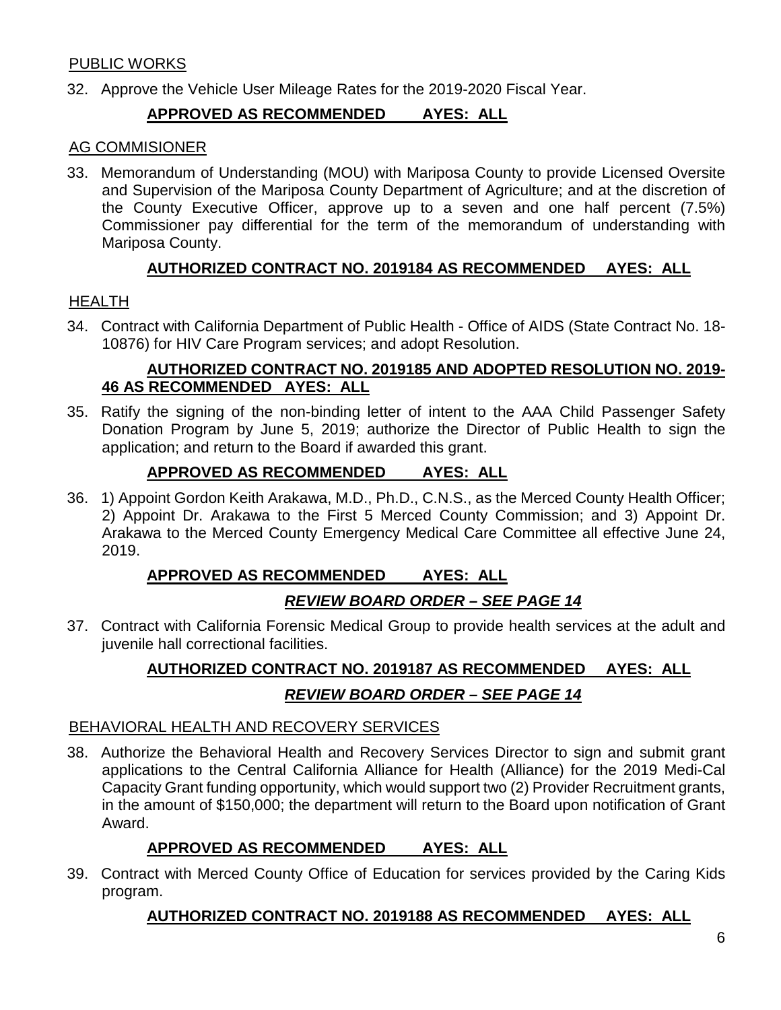## PUBLIC WORKS

32. Approve the Vehicle User Mileage Rates for the 2019-2020 Fiscal Year.

## **APPROVED AS RECOMMENDED AYES: ALL**

### AG COMMISIONER

33. Memorandum of Understanding (MOU) with Mariposa County to provide Licensed Oversite and Supervision of the Mariposa County Department of Agriculture; and at the discretion of the County Executive Officer, approve up to a seven and one half percent (7.5%) Commissioner pay differential for the term of the memorandum of understanding with Mariposa County.

## **AUTHORIZED CONTRACT NO. 2019184 AS RECOMMENDED AYES: ALL**

### HEALTH

34. Contract with California Department of Public Health - Office of AIDS (State Contract No. 18- 10876) for HIV Care Program services; and adopt Resolution.

### **AUTHORIZED CONTRACT NO. 2019185 AND ADOPTED RESOLUTION NO. 2019- 46 AS RECOMMENDED AYES: ALL**

35. Ratify the signing of the non-binding letter of intent to the AAA Child Passenger Safety Donation Program by June 5, 2019; authorize the Director of Public Health to sign the application; and return to the Board if awarded this grant.

## **APPROVED AS RECOMMENDED AYES: ALL**

36. 1) Appoint Gordon Keith Arakawa, M.D., Ph.D., C.N.S., as the Merced County Health Officer; 2) Appoint Dr. Arakawa to the First 5 Merced County Commission; and 3) Appoint Dr. Arakawa to the Merced County Emergency Medical Care Committee all effective June 24, 2019.

## **APPROVED AS RECOMMENDED AYES: ALL**

## *REVIEW BOARD ORDER – SEE PAGE 14*

37. Contract with California Forensic Medical Group to provide health services at the adult and juvenile hall correctional facilities.

# **AUTHORIZED CONTRACT NO. 2019187 AS RECOMMENDED AYES: ALL** *REVIEW BOARD ORDER – SEE PAGE 14*

### BEHAVIORAL HEALTH AND RECOVERY SERVICES

38. Authorize the Behavioral Health and Recovery Services Director to sign and submit grant applications to the Central California Alliance for Health (Alliance) for the 2019 Medi-Cal Capacity Grant funding opportunity, which would support two (2) Provider Recruitment grants, in the amount of \$150,000; the department will return to the Board upon notification of Grant Award.

## **APPROVED AS RECOMMENDED AYES: ALL**

39. Contract with Merced County Office of Education for services provided by the Caring Kids program.

## **AUTHORIZED CONTRACT NO. 2019188 AS RECOMMENDED AYES: ALL**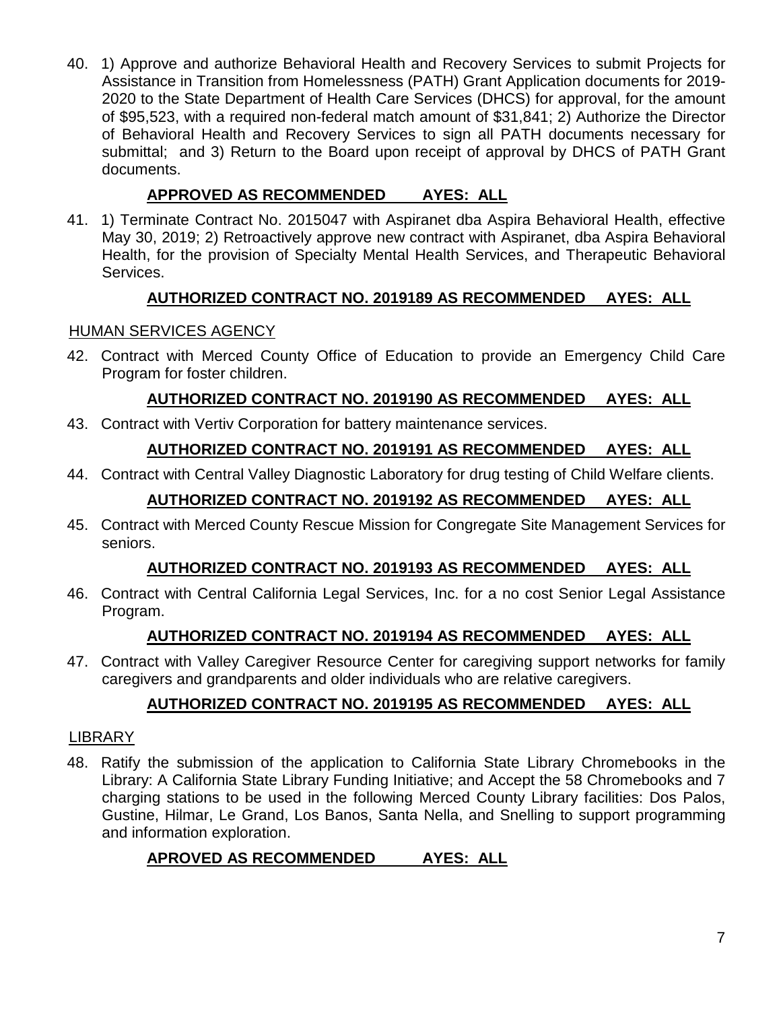40. 1) Approve and authorize Behavioral Health and Recovery Services to submit Projects for Assistance in Transition from Homelessness (PATH) Grant Application documents for 2019- 2020 to the State Department of Health Care Services (DHCS) for approval, for the amount of \$95,523, with a required non-federal match amount of \$31,841; 2) Authorize the Director of Behavioral Health and Recovery Services to sign all PATH documents necessary for submittal; and 3) Return to the Board upon receipt of approval by DHCS of PATH Grant documents.

# **APPROVED AS RECOMMENDED AYES: ALL**

41. 1) Terminate Contract No. 2015047 with Aspiranet dba Aspira Behavioral Health, effective May 30, 2019; 2) Retroactively approve new contract with Aspiranet, dba Aspira Behavioral Health, for the provision of Specialty Mental Health Services, and Therapeutic Behavioral Services.

# **AUTHORIZED CONTRACT NO. 2019189 AS RECOMMENDED AYES: ALL**

## HUMAN SERVICES AGENCY

42. Contract with Merced County Office of Education to provide an Emergency Child Care Program for foster children.

# **AUTHORIZED CONTRACT NO. 2019190 AS RECOMMENDED AYES: ALL**

43. Contract with Vertiv Corporation for battery maintenance services.

## **AUTHORIZED CONTRACT NO. 2019191 AS RECOMMENDED AYES: ALL**

44. Contract with Central Valley Diagnostic Laboratory for drug testing of Child Welfare clients.

# **AUTHORIZED CONTRACT NO. 2019192 AS RECOMMENDED AYES: ALL**

45. Contract with Merced County Rescue Mission for Congregate Site Management Services for seniors.

## **AUTHORIZED CONTRACT NO. 2019193 AS RECOMMENDED AYES: ALL**

46. Contract with Central California Legal Services, Inc. for a no cost Senior Legal Assistance Program.

# **AUTHORIZED CONTRACT NO. 2019194 AS RECOMMENDED AYES: ALL**

47. Contract with Valley Caregiver Resource Center for caregiving support networks for family caregivers and grandparents and older individuals who are relative caregivers.

# **AUTHORIZED CONTRACT NO. 2019195 AS RECOMMENDED AYES: ALL**

## **LIBRARY**

48. Ratify the submission of the application to California State Library Chromebooks in the Library: A California State Library Funding Initiative; and Accept the 58 Chromebooks and 7 charging stations to be used in the following Merced County Library facilities: Dos Palos, Gustine, Hilmar, Le Grand, Los Banos, Santa Nella, and Snelling to support programming and information exploration.

# **APROVED AS RECOMMENDED AYES: ALL**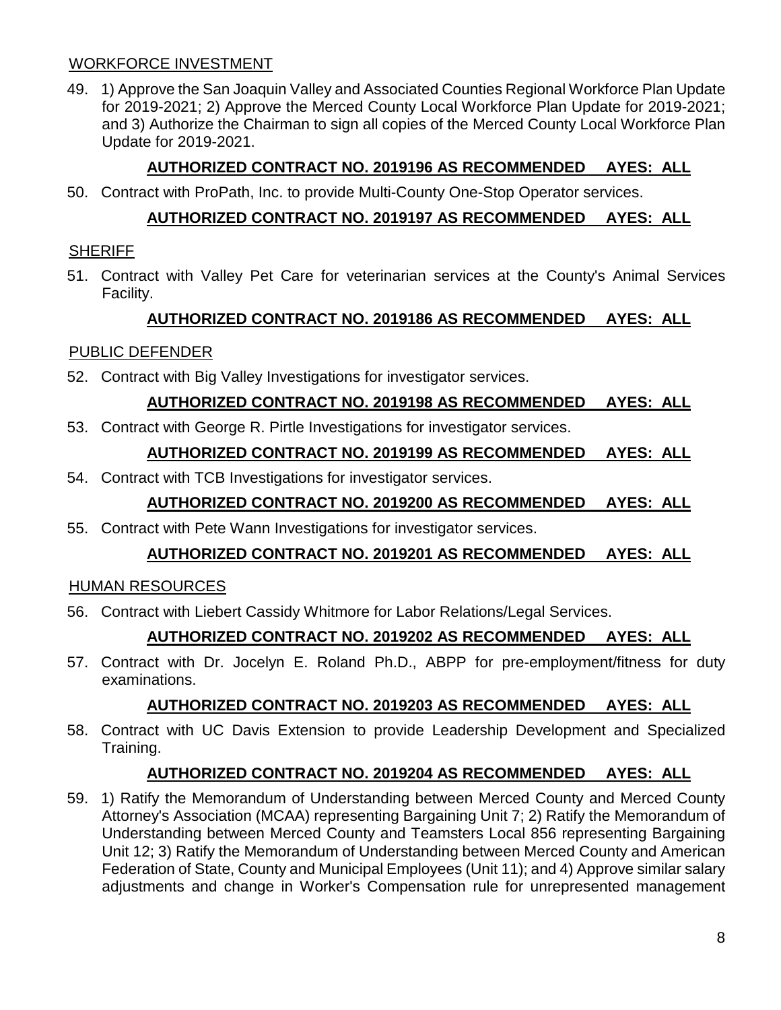## WORKFORCE INVESTMENT

49. 1) Approve the San Joaquin Valley and Associated Counties Regional Workforce Plan Update for 2019-2021; 2) Approve the Merced County Local Workforce Plan Update for 2019-2021; and 3) Authorize the Chairman to sign all copies of the Merced County Local Workforce Plan Update for 2019-2021.

## **AUTHORIZED CONTRACT NO. 2019196 AS RECOMMENDED AYES: ALL**

50. Contract with ProPath, Inc. to provide Multi-County One-Stop Operator services.

## **AUTHORIZED CONTRACT NO. 2019197 AS RECOMMENDED AYES: ALL**

### **SHERIFF**

51. Contract with Valley Pet Care for veterinarian services at the County's Animal Services Facility.

## **AUTHORIZED CONTRACT NO. 2019186 AS RECOMMENDED AYES: ALL**

## PUBLIC DEFENDER

52. Contract with Big Valley Investigations for investigator services.

## **AUTHORIZED CONTRACT NO. 2019198 AS RECOMMENDED AYES: ALL**

53. Contract with George R. Pirtle Investigations for investigator services.

## **AUTHORIZED CONTRACT NO. 2019199 AS RECOMMENDED AYES: ALL**

54. Contract with TCB Investigations for investigator services.

## **AUTHORIZED CONTRACT NO. 2019200 AS RECOMMENDED AYES: ALL**

55. Contract with Pete Wann Investigations for investigator services.

## **AUTHORIZED CONTRACT NO. 2019201 AS RECOMMENDED AYES: ALL**

### HUMAN RESOURCES

56. Contract with Liebert Cassidy Whitmore for Labor Relations/Legal Services.

## **AUTHORIZED CONTRACT NO. 2019202 AS RECOMMENDED AYES: ALL**

57. Contract with Dr. Jocelyn E. Roland Ph.D., ABPP for pre-employment/fitness for duty examinations.

## **AUTHORIZED CONTRACT NO. 2019203 AS RECOMMENDED AYES: ALL**

58. Contract with UC Davis Extension to provide Leadership Development and Specialized Training.

## **AUTHORIZED CONTRACT NO. 2019204 AS RECOMMENDED AYES: ALL**

59. 1) Ratify the Memorandum of Understanding between Merced County and Merced County Attorney's Association (MCAA) representing Bargaining Unit 7; 2) Ratify the Memorandum of Understanding between Merced County and Teamsters Local 856 representing Bargaining Unit 12; 3) Ratify the Memorandum of Understanding between Merced County and American Federation of State, County and Municipal Employees (Unit 11); and 4) Approve similar salary adjustments and change in Worker's Compensation rule for unrepresented management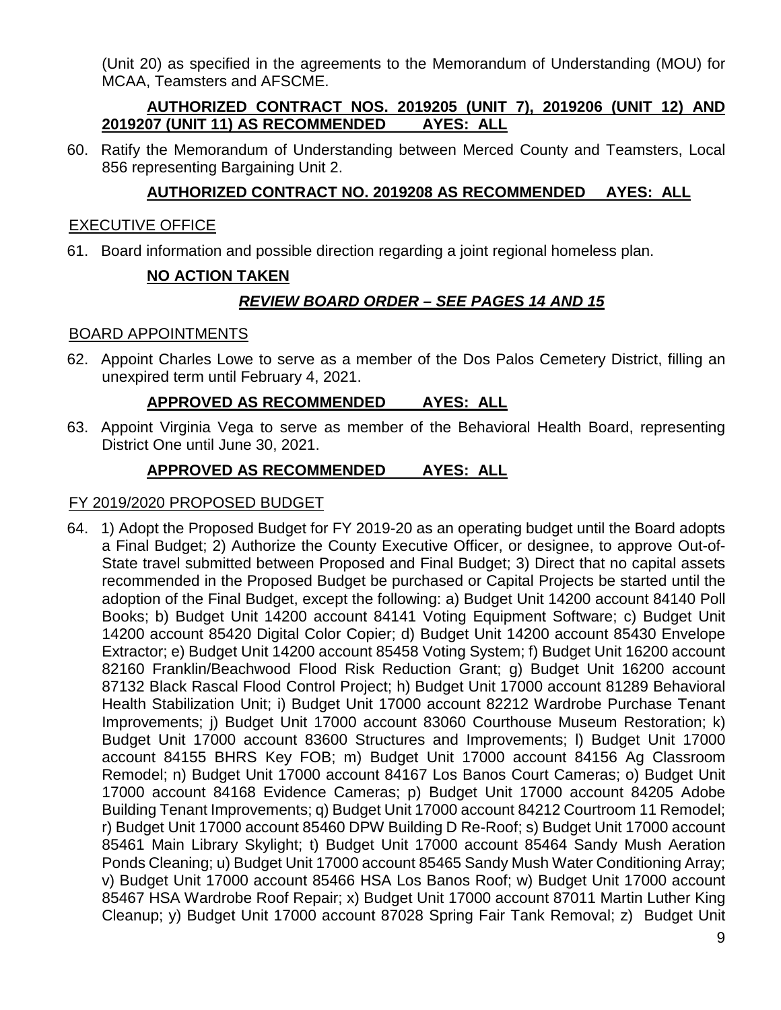(Unit 20) as specified in the agreements to the Memorandum of Understanding (MOU) for MCAA, Teamsters and AFSCME.

## **AUTHORIZED CONTRACT NOS. 2019205 (UNIT 7), 2019206 (UNIT 12) AND 2019207 (UNIT 11) AS RECOMMENDED AYES: ALL**

60. Ratify the Memorandum of Understanding between Merced County and Teamsters, Local 856 representing Bargaining Unit 2.

## **AUTHORIZED CONTRACT NO. 2019208 AS RECOMMENDED AYES: ALL**

## EXECUTIVE OFFICE

61. Board information and possible direction regarding a joint regional homeless plan.

## **NO ACTION TAKEN**

## *REVIEW BOARD ORDER – SEE PAGES 14 AND 15*

## BOARD APPOINTMENTS

62. Appoint Charles Lowe to serve as a member of the Dos Palos Cemetery District, filling an unexpired term until February 4, 2021.

## **APPROVED AS RECOMMENDED AYES: ALL**

63. Appoint Virginia Vega to serve as member of the Behavioral Health Board, representing District One until June 30, 2021.

## **APPROVED AS RECOMMENDED AYES: ALL**

## FY 2019/2020 PROPOSED BUDGET

64. 1) Adopt the Proposed Budget for FY 2019-20 as an operating budget until the Board adopts a Final Budget; 2) Authorize the County Executive Officer, or designee, to approve Out-of-State travel submitted between Proposed and Final Budget; 3) Direct that no capital assets recommended in the Proposed Budget be purchased or Capital Projects be started until the adoption of the Final Budget, except the following: a) Budget Unit 14200 account 84140 Poll Books; b) Budget Unit 14200 account 84141 Voting Equipment Software; c) Budget Unit 14200 account 85420 Digital Color Copier; d) Budget Unit 14200 account 85430 Envelope Extractor; e) Budget Unit 14200 account 85458 Voting System; f) Budget Unit 16200 account 82160 Franklin/Beachwood Flood Risk Reduction Grant; g) Budget Unit 16200 account 87132 Black Rascal Flood Control Project; h) Budget Unit 17000 account 81289 Behavioral Health Stabilization Unit; i) Budget Unit 17000 account 82212 Wardrobe Purchase Tenant Improvements; j) Budget Unit 17000 account 83060 Courthouse Museum Restoration; k) Budget Unit 17000 account 83600 Structures and Improvements; l) Budget Unit 17000 account 84155 BHRS Key FOB; m) Budget Unit 17000 account 84156 Ag Classroom Remodel; n) Budget Unit 17000 account 84167 Los Banos Court Cameras; o) Budget Unit 17000 account 84168 Evidence Cameras; p) Budget Unit 17000 account 84205 Adobe Building Tenant Improvements; q) Budget Unit 17000 account 84212 Courtroom 11 Remodel; r) Budget Unit 17000 account 85460 DPW Building D Re-Roof; s) Budget Unit 17000 account 85461 Main Library Skylight; t) Budget Unit 17000 account 85464 Sandy Mush Aeration Ponds Cleaning; u) Budget Unit 17000 account 85465 Sandy Mush Water Conditioning Array; v) Budget Unit 17000 account 85466 HSA Los Banos Roof; w) Budget Unit 17000 account 85467 HSA Wardrobe Roof Repair; x) Budget Unit 17000 account 87011 Martin Luther King Cleanup; y) Budget Unit 17000 account 87028 Spring Fair Tank Removal; z) Budget Unit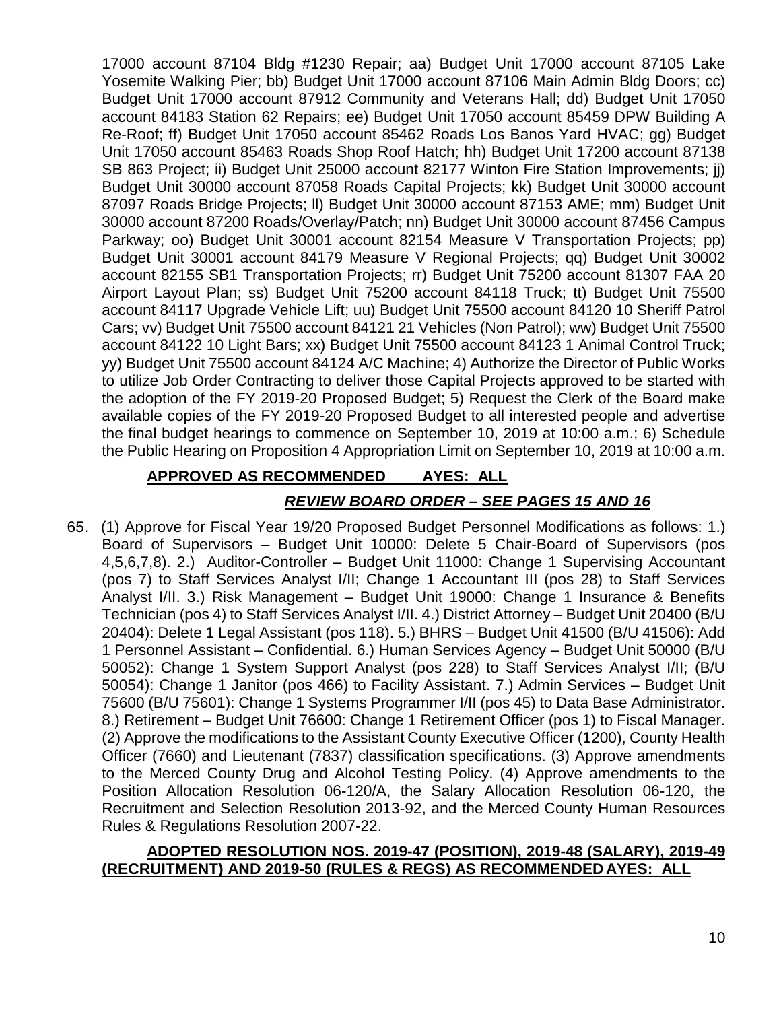17000 account 87104 Bldg #1230 Repair; aa) Budget Unit 17000 account 87105 Lake Yosemite Walking Pier; bb) Budget Unit 17000 account 87106 Main Admin Bldg Doors; cc) Budget Unit 17000 account 87912 Community and Veterans Hall; dd) Budget Unit 17050 account 84183 Station 62 Repairs; ee) Budget Unit 17050 account 85459 DPW Building A Re-Roof; ff) Budget Unit 17050 account 85462 Roads Los Banos Yard HVAC; gg) Budget Unit 17050 account 85463 Roads Shop Roof Hatch; hh) Budget Unit 17200 account 87138 SB 863 Project; ii) Budget Unit 25000 account 82177 Winton Fire Station Improvements; jj) Budget Unit 30000 account 87058 Roads Capital Projects; kk) Budget Unit 30000 account 87097 Roads Bridge Projects; ll) Budget Unit 30000 account 87153 AME; mm) Budget Unit 30000 account 87200 Roads/Overlay/Patch; nn) Budget Unit 30000 account 87456 Campus Parkway; oo) Budget Unit 30001 account 82154 Measure V Transportation Projects; pp) Budget Unit 30001 account 84179 Measure V Regional Projects; qq) Budget Unit 30002 account 82155 SB1 Transportation Projects; rr) Budget Unit 75200 account 81307 FAA 20 Airport Layout Plan; ss) Budget Unit 75200 account 84118 Truck; tt) Budget Unit 75500 account 84117 Upgrade Vehicle Lift; uu) Budget Unit 75500 account 84120 10 Sheriff Patrol Cars; vv) Budget Unit 75500 account 84121 21 Vehicles (Non Patrol); ww) Budget Unit 75500 account 84122 10 Light Bars; xx) Budget Unit 75500 account 84123 1 Animal Control Truck; yy) Budget Unit 75500 account 84124 A/C Machine; 4) Authorize the Director of Public Works to utilize Job Order Contracting to deliver those Capital Projects approved to be started with the adoption of the FY 2019-20 Proposed Budget; 5) Request the Clerk of the Board make available copies of the FY 2019-20 Proposed Budget to all interested people and advertise the final budget hearings to commence on September 10, 2019 at 10:00 a.m.; 6) Schedule the Public Hearing on Proposition 4 Appropriation Limit on September 10, 2019 at 10:00 a.m.

## **APPROVED AS RECOMMENDED AYES: ALL**

## *REVIEW BOARD ORDER – SEE PAGES 15 AND 16*

65. (1) Approve for Fiscal Year 19/20 Proposed Budget Personnel Modifications as follows: 1.) Board of Supervisors – Budget Unit 10000: Delete 5 Chair-Board of Supervisors (pos 4,5,6,7,8). 2.) Auditor-Controller – Budget Unit 11000: Change 1 Supervising Accountant (pos 7) to Staff Services Analyst I/II; Change 1 Accountant III (pos 28) to Staff Services Analyst I/II. 3.) Risk Management – Budget Unit 19000: Change 1 Insurance & Benefits Technician (pos 4) to Staff Services Analyst I/II. 4.) District Attorney – Budget Unit 20400 (B/U 20404): Delete 1 Legal Assistant (pos 118). 5.) BHRS – Budget Unit 41500 (B/U 41506): Add 1 Personnel Assistant – Confidential. 6.) Human Services Agency – Budget Unit 50000 (B/U 50052): Change 1 System Support Analyst (pos 228) to Staff Services Analyst I/II; (B/U 50054): Change 1 Janitor (pos 466) to Facility Assistant. 7.) Admin Services – Budget Unit 75600 (B/U 75601): Change 1 Systems Programmer I/II (pos 45) to Data Base Administrator. 8.) Retirement – Budget Unit 76600: Change 1 Retirement Officer (pos 1) to Fiscal Manager. (2) Approve the modifications to the Assistant County Executive Officer (1200), County Health Officer (7660) and Lieutenant (7837) classification specifications. (3) Approve amendments to the Merced County Drug and Alcohol Testing Policy. (4) Approve amendments to the Position Allocation Resolution 06-120/A, the Salary Allocation Resolution 06-120, the Recruitment and Selection Resolution 2013-92, and the Merced County Human Resources Rules & Regulations Resolution 2007-22.

### **ADOPTED RESOLUTION NOS. 2019-47 (POSITION), 2019-48 (SALARY), 2019-49 (RECRUITMENT) AND 2019-50 (RULES & REGS) AS RECOMMENDED AYES: ALL**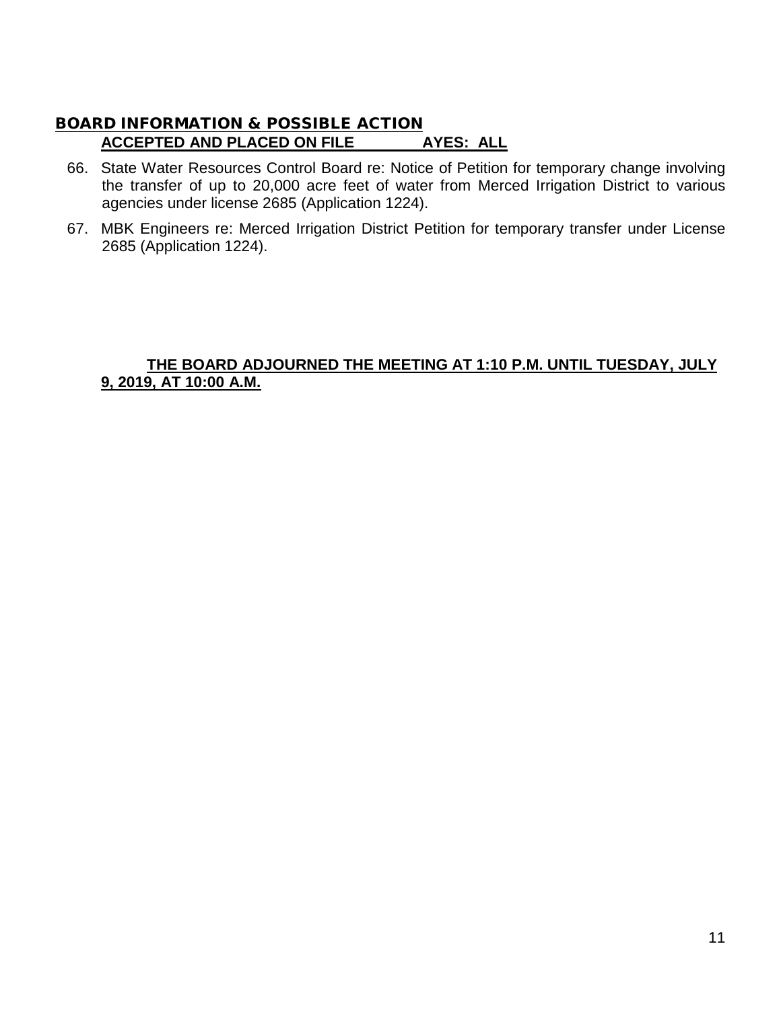## BOARD INFORMATION & POSSIBLE ACTION **ACCEPTED AND PLACED ON FILE AYES: ALL**

- 66. State Water Resources Control Board re: Notice of Petition for temporary change involving the transfer of up to 20,000 acre feet of water from Merced Irrigation District to various agencies under license 2685 (Application 1224).
- 67. MBK Engineers re: Merced Irrigation District Petition for temporary transfer under License 2685 (Application 1224).

## **THE BOARD ADJOURNED THE MEETING AT 1:10 P.M. UNTIL TUESDAY, JULY 9, 2019, AT 10:00 A.M.**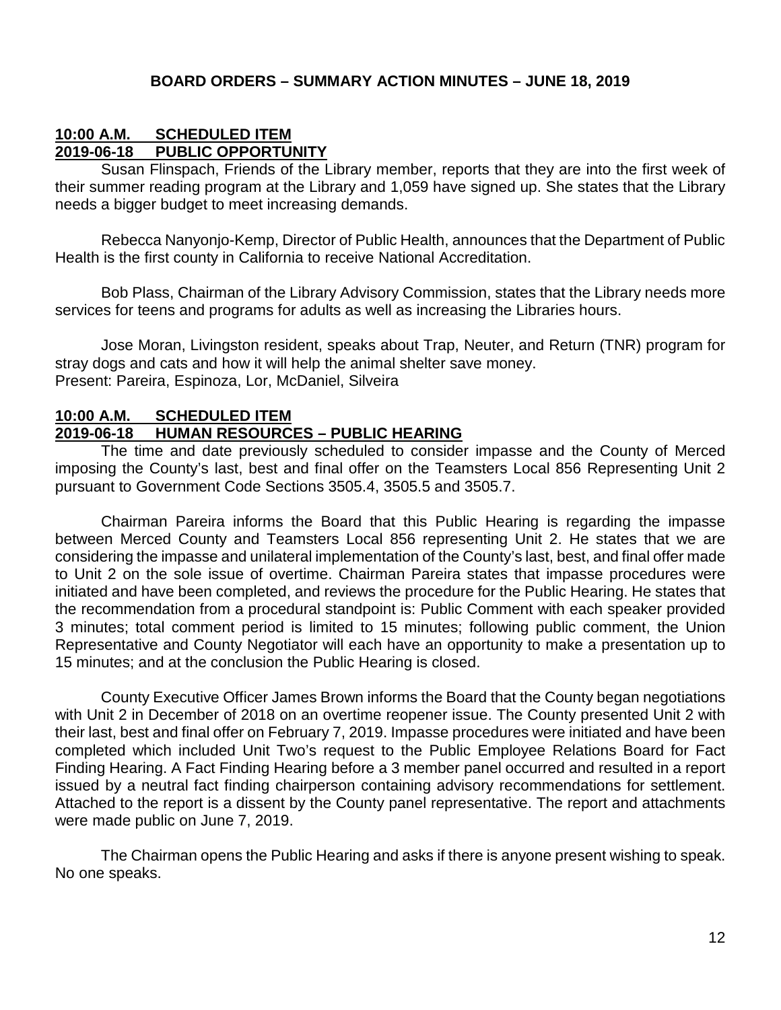### **BOARD ORDERS – SUMMARY ACTION MINUTES – JUNE 18, 2019**

### **10:00 A.M. SCHEDULED ITEM 2019-06-18 PUBLIC OPPORTUNITY**

Susan Flinspach, Friends of the Library member, reports that they are into the first week of their summer reading program at the Library and 1,059 have signed up. She states that the Library needs a bigger budget to meet increasing demands.

Rebecca Nanyonjo-Kemp, Director of Public Health, announces that the Department of Public Health is the first county in California to receive National Accreditation.

Bob Plass, Chairman of the Library Advisory Commission, states that the Library needs more services for teens and programs for adults as well as increasing the Libraries hours.

Jose Moran, Livingston resident, speaks about Trap, Neuter, and Return (TNR) program for stray dogs and cats and how it will help the animal shelter save money. Present: Pareira, Espinoza, Lor, McDaniel, Silveira

## **10:00 A.M. SCHEDULED ITEM 2019-06-18 HUMAN RESOURCES – PUBLIC HEARING**

The time and date previously scheduled to consider impasse and the County of Merced imposing the County's last, best and final offer on the Teamsters Local 856 Representing Unit 2 pursuant to Government Code Sections 3505.4, 3505.5 and 3505.7.

Chairman Pareira informs the Board that this Public Hearing is regarding the impasse between Merced County and Teamsters Local 856 representing Unit 2. He states that we are considering the impasse and unilateral implementation of the County's last, best, and final offer made to Unit 2 on the sole issue of overtime. Chairman Pareira states that impasse procedures were initiated and have been completed, and reviews the procedure for the Public Hearing. He states that the recommendation from a procedural standpoint is: Public Comment with each speaker provided 3 minutes; total comment period is limited to 15 minutes; following public comment, the Union Representative and County Negotiator will each have an opportunity to make a presentation up to 15 minutes; and at the conclusion the Public Hearing is closed.

County Executive Officer James Brown informs the Board that the County began negotiations with Unit 2 in December of 2018 on an overtime reopener issue. The County presented Unit 2 with their last, best and final offer on February 7, 2019. Impasse procedures were initiated and have been completed which included Unit Two's request to the Public Employee Relations Board for Fact Finding Hearing. A Fact Finding Hearing before a 3 member panel occurred and resulted in a report issued by a neutral fact finding chairperson containing advisory recommendations for settlement. Attached to the report is a dissent by the County panel representative. The report and attachments were made public on June 7, 2019.

The Chairman opens the Public Hearing and asks if there is anyone present wishing to speak. No one speaks.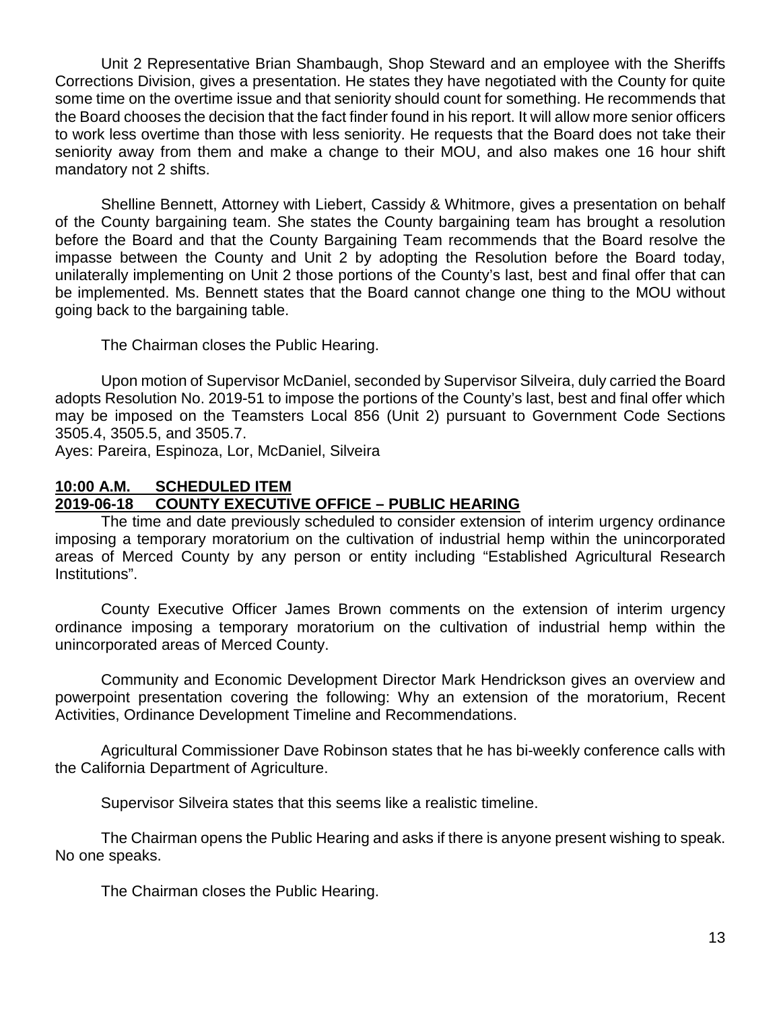Unit 2 Representative Brian Shambaugh, Shop Steward and an employee with the Sheriffs Corrections Division, gives a presentation. He states they have negotiated with the County for quite some time on the overtime issue and that seniority should count for something. He recommends that the Board chooses the decision that the fact finder found in his report. It will allow more senior officers to work less overtime than those with less seniority. He requests that the Board does not take their seniority away from them and make a change to their MOU, and also makes one 16 hour shift mandatory not 2 shifts.

Shelline Bennett, Attorney with Liebert, Cassidy & Whitmore, gives a presentation on behalf of the County bargaining team. She states the County bargaining team has brought a resolution before the Board and that the County Bargaining Team recommends that the Board resolve the impasse between the County and Unit 2 by adopting the Resolution before the Board today, unilaterally implementing on Unit 2 those portions of the County's last, best and final offer that can be implemented. Ms. Bennett states that the Board cannot change one thing to the MOU without going back to the bargaining table.

The Chairman closes the Public Hearing.

Upon motion of Supervisor McDaniel, seconded by Supervisor Silveira, duly carried the Board adopts Resolution No. 2019-51 to impose the portions of the County's last, best and final offer which may be imposed on the Teamsters Local 856 (Unit 2) pursuant to Government Code Sections 3505.4, 3505.5, and 3505.7.

Ayes: Pareira, Espinoza, Lor, McDaniel, Silveira

#### **10:00 A.M. SCHEDULED ITEM 2019-06-18 COUNTY EXECUTIVE OFFICE – PUBLIC HEARING**

The time and date previously scheduled to consider extension of interim urgency ordinance imposing a temporary moratorium on the cultivation of industrial hemp within the unincorporated areas of Merced County by any person or entity including "Established Agricultural Research Institutions".

County Executive Officer James Brown comments on the extension of interim urgency ordinance imposing a temporary moratorium on the cultivation of industrial hemp within the unincorporated areas of Merced County.

Community and Economic Development Director Mark Hendrickson gives an overview and powerpoint presentation covering the following: Why an extension of the moratorium, Recent Activities, Ordinance Development Timeline and Recommendations.

Agricultural Commissioner Dave Robinson states that he has bi-weekly conference calls with the California Department of Agriculture.

Supervisor Silveira states that this seems like a realistic timeline.

The Chairman opens the Public Hearing and asks if there is anyone present wishing to speak. No one speaks.

The Chairman closes the Public Hearing.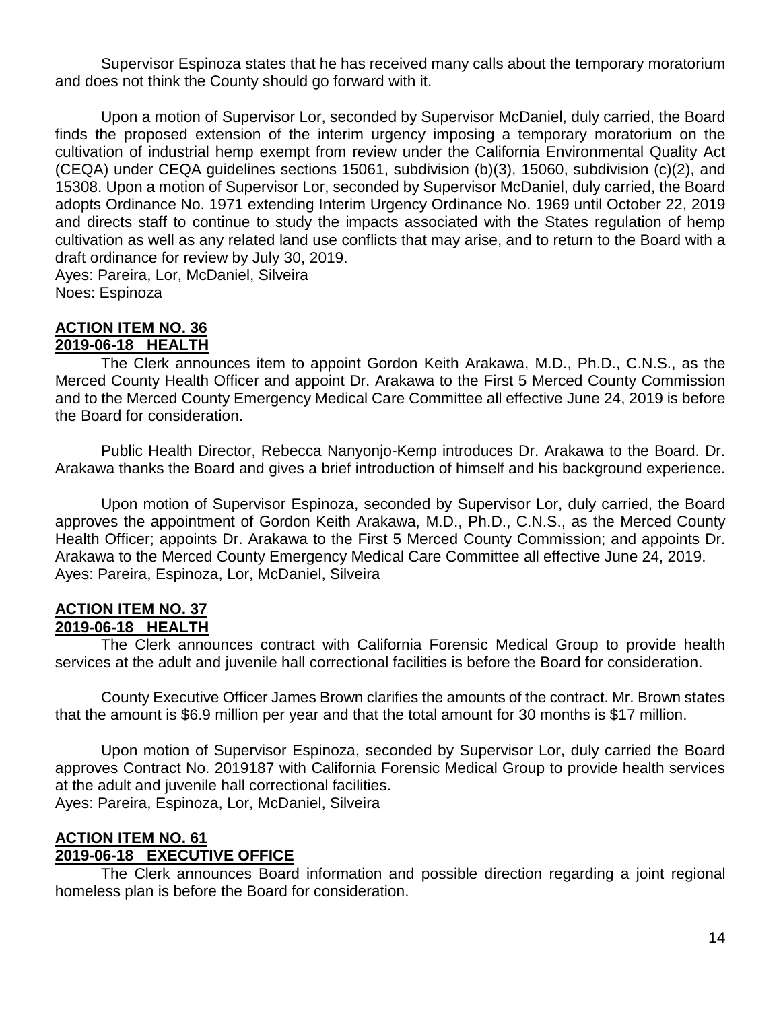Supervisor Espinoza states that he has received many calls about the temporary moratorium and does not think the County should go forward with it.

Upon a motion of Supervisor Lor, seconded by Supervisor McDaniel, duly carried, the Board finds the proposed extension of the interim urgency imposing a temporary moratorium on the cultivation of industrial hemp exempt from review under the California Environmental Quality Act (CEQA) under CEQA guidelines sections 15061, subdivision (b)(3), 15060, subdivision (c)(2), and 15308. Upon a motion of Supervisor Lor, seconded by Supervisor McDaniel, duly carried, the Board adopts Ordinance No. 1971 extending Interim Urgency Ordinance No. 1969 until October 22, 2019 and directs staff to continue to study the impacts associated with the States regulation of hemp cultivation as well as any related land use conflicts that may arise, and to return to the Board with a draft ordinance for review by July 30, 2019. Ayes: Pareira, Lor, McDaniel, Silveira

Noes: Espinoza

### **ACTION ITEM NO. 36 2019-06-18 HEALTH**

The Clerk announces item to appoint Gordon Keith Arakawa, M.D., Ph.D., C.N.S., as the Merced County Health Officer and appoint Dr. Arakawa to the First 5 Merced County Commission and to the Merced County Emergency Medical Care Committee all effective June 24, 2019 is before the Board for consideration.

Public Health Director, Rebecca Nanyonjo-Kemp introduces Dr. Arakawa to the Board. Dr. Arakawa thanks the Board and gives a brief introduction of himself and his background experience.

Upon motion of Supervisor Espinoza, seconded by Supervisor Lor, duly carried, the Board approves the appointment of Gordon Keith Arakawa, M.D., Ph.D., C.N.S., as the Merced County Health Officer; appoints Dr. Arakawa to the First 5 Merced County Commission; and appoints Dr. Arakawa to the Merced County Emergency Medical Care Committee all effective June 24, 2019. Ayes: Pareira, Espinoza, Lor, McDaniel, Silveira

#### **ACTION ITEM NO. 37 2019-06-18 HEALTH**

The Clerk announces contract with California Forensic Medical Group to provide health services at the adult and juvenile hall correctional facilities is before the Board for consideration.

County Executive Officer James Brown clarifies the amounts of the contract. Mr. Brown states that the amount is \$6.9 million per year and that the total amount for 30 months is \$17 million.

Upon motion of Supervisor Espinoza, seconded by Supervisor Lor, duly carried the Board approves Contract No. 2019187 with California Forensic Medical Group to provide health services at the adult and juvenile hall correctional facilities. Ayes: Pareira, Espinoza, Lor, McDaniel, Silveira

## **ACTION ITEM NO. 61 2019-06-18 EXECUTIVE OFFICE**

The Clerk announces Board information and possible direction regarding a joint regional homeless plan is before the Board for consideration.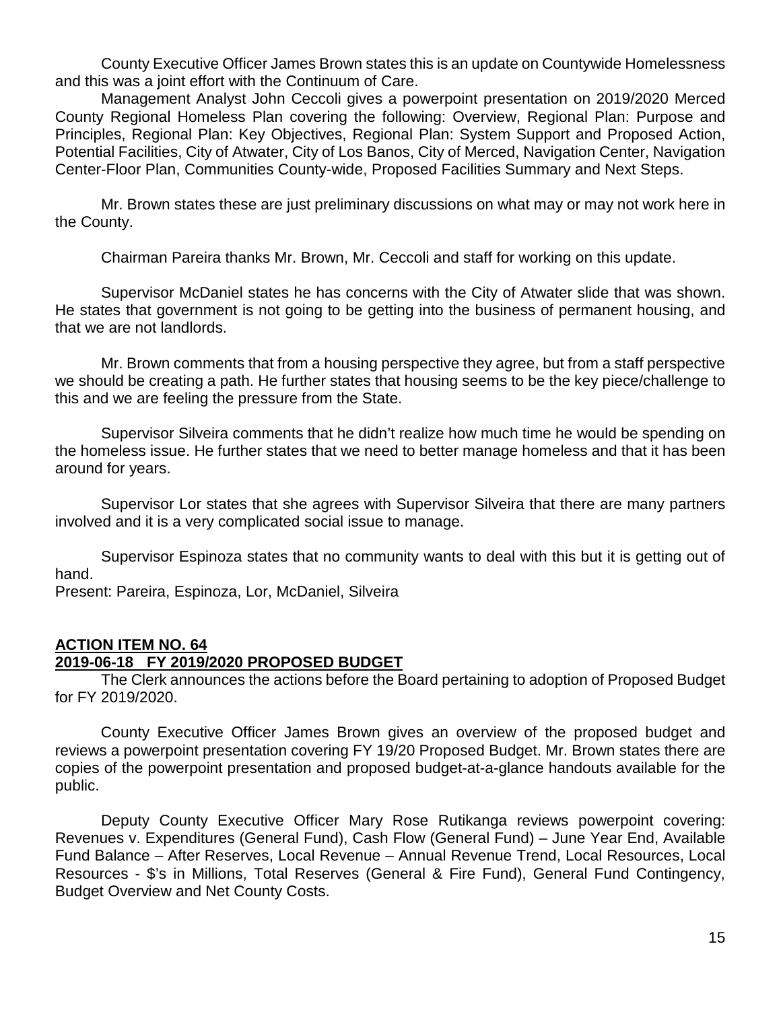County Executive Officer James Brown states this is an update on Countywide Homelessness and this was a joint effort with the Continuum of Care.

Management Analyst John Ceccoli gives a powerpoint presentation on 2019/2020 Merced County Regional Homeless Plan covering the following: Overview, Regional Plan: Purpose and Principles, Regional Plan: Key Objectives, Regional Plan: System Support and Proposed Action, Potential Facilities, City of Atwater, City of Los Banos, City of Merced, Navigation Center, Navigation Center-Floor Plan, Communities County-wide, Proposed Facilities Summary and Next Steps.

Mr. Brown states these are just preliminary discussions on what may or may not work here in the County.

Chairman Pareira thanks Mr. Brown, Mr. Ceccoli and staff for working on this update.

Supervisor McDaniel states he has concerns with the City of Atwater slide that was shown. He states that government is not going to be getting into the business of permanent housing, and that we are not landlords.

Mr. Brown comments that from a housing perspective they agree, but from a staff perspective we should be creating a path. He further states that housing seems to be the key piece/challenge to this and we are feeling the pressure from the State.

Supervisor Silveira comments that he didn't realize how much time he would be spending on the homeless issue. He further states that we need to better manage homeless and that it has been around for years.

Supervisor Lor states that she agrees with Supervisor Silveira that there are many partners involved and it is a very complicated social issue to manage.

Supervisor Espinoza states that no community wants to deal with this but it is getting out of hand.

Present: Pareira, Espinoza, Lor, McDaniel, Silveira

### **ACTION ITEM NO. 64**

### **2019-06-18 FY 2019/2020 PROPOSED BUDGET**

The Clerk announces the actions before the Board pertaining to adoption of Proposed Budget for FY 2019/2020.

County Executive Officer James Brown gives an overview of the proposed budget and reviews a powerpoint presentation covering FY 19/20 Proposed Budget. Mr. Brown states there are copies of the powerpoint presentation and proposed budget-at-a-glance handouts available for the public.

Deputy County Executive Officer Mary Rose Rutikanga reviews powerpoint covering: Revenues v. Expenditures (General Fund), Cash Flow (General Fund) – June Year End, Available Fund Balance – After Reserves, Local Revenue – Annual Revenue Trend, Local Resources, Local Resources - \$'s in Millions, Total Reserves (General & Fire Fund), General Fund Contingency, Budget Overview and Net County Costs.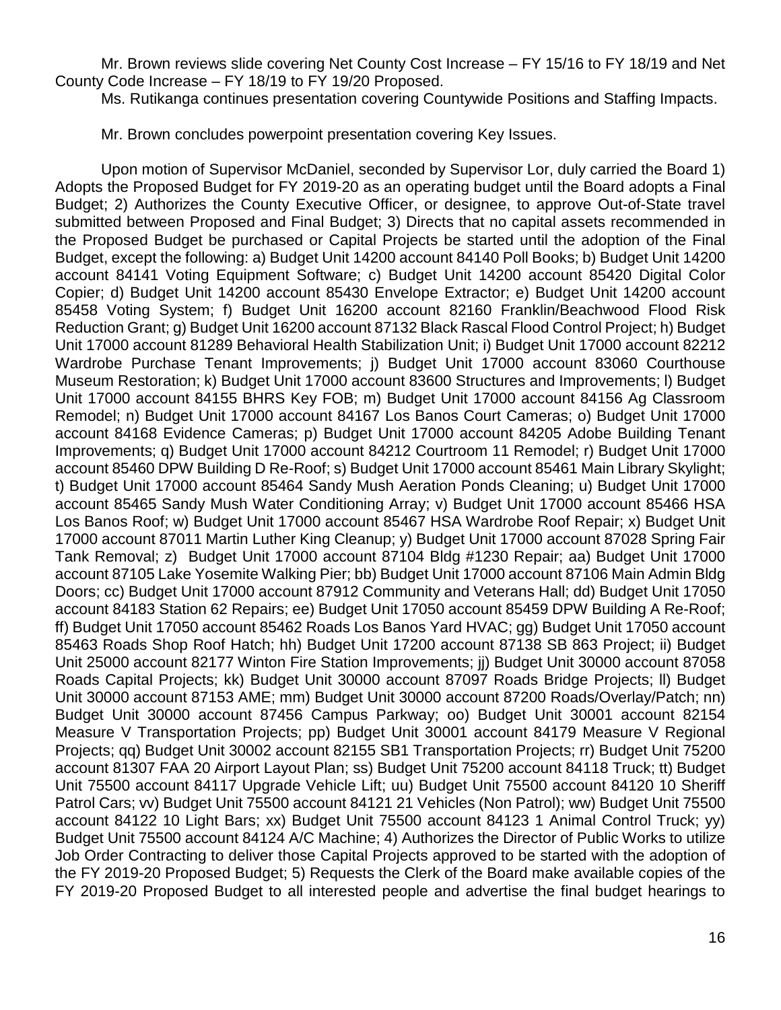Mr. Brown reviews slide covering Net County Cost Increase – FY 15/16 to FY 18/19 and Net County Code Increase – FY 18/19 to FY 19/20 Proposed.

Ms. Rutikanga continues presentation covering Countywide Positions and Staffing Impacts.

Mr. Brown concludes powerpoint presentation covering Key Issues.

Upon motion of Supervisor McDaniel, seconded by Supervisor Lor, duly carried the Board 1) Adopts the Proposed Budget for FY 2019-20 as an operating budget until the Board adopts a Final Budget; 2) Authorizes the County Executive Officer, or designee, to approve Out-of-State travel submitted between Proposed and Final Budget; 3) Directs that no capital assets recommended in the Proposed Budget be purchased or Capital Projects be started until the adoption of the Final Budget, except the following: a) Budget Unit 14200 account 84140 Poll Books; b) Budget Unit 14200 account 84141 Voting Equipment Software; c) Budget Unit 14200 account 85420 Digital Color Copier; d) Budget Unit 14200 account 85430 Envelope Extractor; e) Budget Unit 14200 account 85458 Voting System; f) Budget Unit 16200 account 82160 Franklin/Beachwood Flood Risk Reduction Grant; g) Budget Unit 16200 account 87132 Black Rascal Flood Control Project; h) Budget Unit 17000 account 81289 Behavioral Health Stabilization Unit; i) Budget Unit 17000 account 82212 Wardrobe Purchase Tenant Improvements; j) Budget Unit 17000 account 83060 Courthouse Museum Restoration; k) Budget Unit 17000 account 83600 Structures and Improvements; l) Budget Unit 17000 account 84155 BHRS Key FOB; m) Budget Unit 17000 account 84156 Ag Classroom Remodel; n) Budget Unit 17000 account 84167 Los Banos Court Cameras; o) Budget Unit 17000 account 84168 Evidence Cameras; p) Budget Unit 17000 account 84205 Adobe Building Tenant Improvements; q) Budget Unit 17000 account 84212 Courtroom 11 Remodel; r) Budget Unit 17000 account 85460 DPW Building D Re-Roof; s) Budget Unit 17000 account 85461 Main Library Skylight; t) Budget Unit 17000 account 85464 Sandy Mush Aeration Ponds Cleaning; u) Budget Unit 17000 account 85465 Sandy Mush Water Conditioning Array; v) Budget Unit 17000 account 85466 HSA Los Banos Roof; w) Budget Unit 17000 account 85467 HSA Wardrobe Roof Repair; x) Budget Unit 17000 account 87011 Martin Luther King Cleanup; y) Budget Unit 17000 account 87028 Spring Fair Tank Removal; z) Budget Unit 17000 account 87104 Bldg #1230 Repair; aa) Budget Unit 17000 account 87105 Lake Yosemite Walking Pier; bb) Budget Unit 17000 account 87106 Main Admin Bldg Doors; cc) Budget Unit 17000 account 87912 Community and Veterans Hall; dd) Budget Unit 17050 account 84183 Station 62 Repairs; ee) Budget Unit 17050 account 85459 DPW Building A Re-Roof; ff) Budget Unit 17050 account 85462 Roads Los Banos Yard HVAC; gg) Budget Unit 17050 account 85463 Roads Shop Roof Hatch; hh) Budget Unit 17200 account 87138 SB 863 Project; ii) Budget Unit 25000 account 82177 Winton Fire Station Improvements; jj) Budget Unit 30000 account 87058 Roads Capital Projects; kk) Budget Unit 30000 account 87097 Roads Bridge Projects; ll) Budget Unit 30000 account 87153 AME; mm) Budget Unit 30000 account 87200 Roads/Overlay/Patch; nn) Budget Unit 30000 account 87456 Campus Parkway; oo) Budget Unit 30001 account 82154 Measure V Transportation Projects; pp) Budget Unit 30001 account 84179 Measure V Regional Projects; qq) Budget Unit 30002 account 82155 SB1 Transportation Projects; rr) Budget Unit 75200 account 81307 FAA 20 Airport Layout Plan; ss) Budget Unit 75200 account 84118 Truck; tt) Budget Unit 75500 account 84117 Upgrade Vehicle Lift; uu) Budget Unit 75500 account 84120 10 Sheriff Patrol Cars; vv) Budget Unit 75500 account 84121 21 Vehicles (Non Patrol); ww) Budget Unit 75500 account 84122 10 Light Bars; xx) Budget Unit 75500 account 84123 1 Animal Control Truck; yy) Budget Unit 75500 account 84124 A/C Machine; 4) Authorizes the Director of Public Works to utilize Job Order Contracting to deliver those Capital Projects approved to be started with the adoption of the FY 2019-20 Proposed Budget; 5) Requests the Clerk of the Board make available copies of the FY 2019-20 Proposed Budget to all interested people and advertise the final budget hearings to